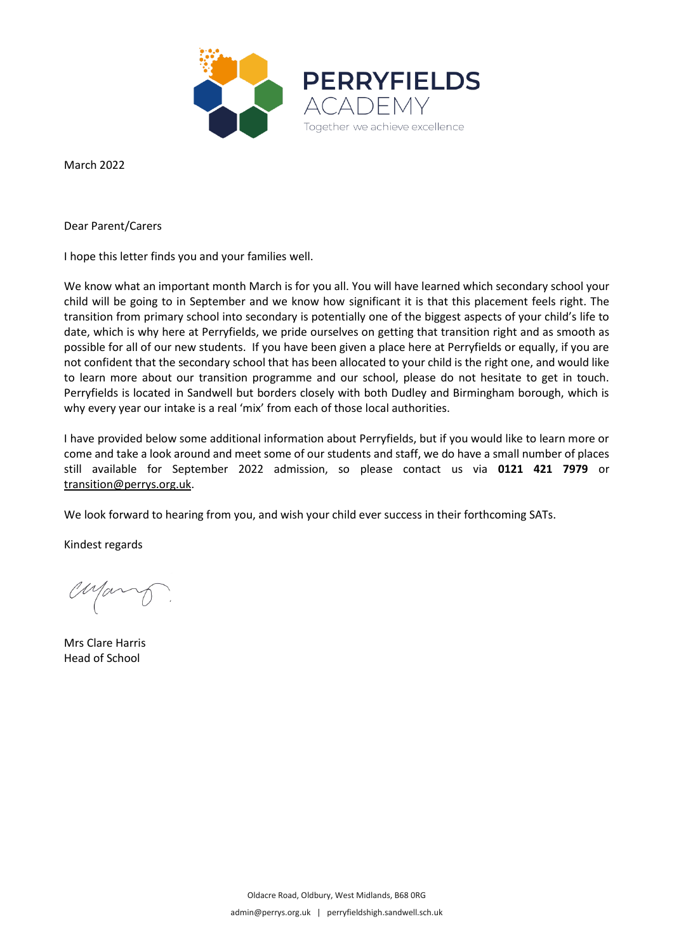

March 2022

Dear Parent/Carers

I hope this letter finds you and your families well.

We know what an important month March is for you all. You will have learned which secondary school your child will be going to in September and we know how significant it is that this placement feels right. The transition from primary school into secondary is potentially one of the biggest aspects of your child's life to date, which is why here at Perryfields, we pride ourselves on getting that transition right and as smooth as possible for all of our new students. If you have been given a place here at Perryfields or equally, if you are not confident that the secondary school that has been allocated to your child is the right one, and would like to learn more about our transition programme and our school, please do not hesitate to get in touch. Perryfields is located in Sandwell but borders closely with both Dudley and Birmingham borough, which is why every year our intake is a real 'mix' from each of those local authorities.

I have provided below some additional information about Perryfields, but if you would like to learn more or come and take a look around and meet some of our students and staff, we do have a small number of places still available for September 2022 admission, so please contact us via **0121 421 7979** or [transition@perrys.org.uk.](mailto:transition@perrys.org.uk)

We look forward to hearing from you, and wish your child ever success in their forthcoming SATs.

Kindest regards

Mary

Mrs Clare Harris Head of School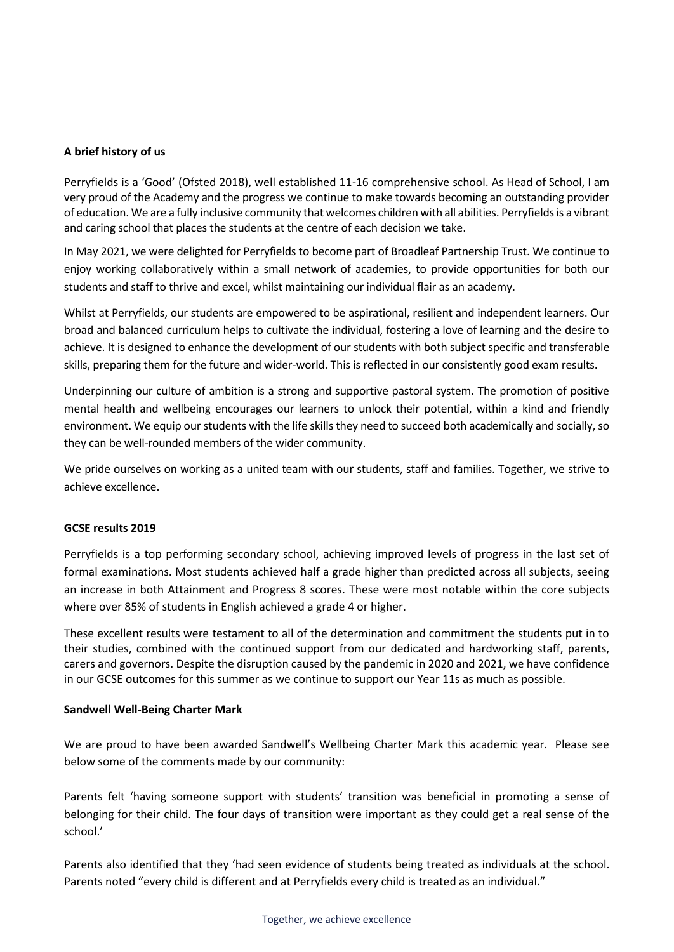## **A brief history of us**

Perryfields is a 'Good' (Ofsted 2018), well established 11-16 comprehensive school. As Head of School, I am very proud of the Academy and the progress we continue to make towards becoming an outstanding provider of education. We are a fully inclusive community that welcomes children with all abilities. Perryfields is a vibrant and caring school that places the students at the centre of each decision we take.

In May 2021, we were delighted for Perryfields to become part of Broadleaf Partnership Trust. We continue to enjoy working collaboratively within a small network of academies, to provide opportunities for both our students and staff to thrive and excel, whilst maintaining our individual flair as an academy.

Whilst at Perryfields, our students are empowered to be aspirational, resilient and independent learners. Our broad and balanced curriculum helps to cultivate the individual, fostering a love of learning and the desire to achieve. It is designed to enhance the development of our students with both subject specific and transferable skills, preparing them for the future and wider-world. This is reflected in our consistently good exam results.

Underpinning our culture of ambition is a strong and supportive pastoral system. The promotion of positive mental health and wellbeing encourages our learners to unlock their potential, within a kind and friendly environment. We equip our students with the life skills they need to succeed both academically and socially, so they can be well-rounded members of the wider community.

We pride ourselves on working as a united team with our students, staff and families. Together, we strive to achieve excellence.

## **GCSE results 2019**

Perryfields is a top performing secondary school, achieving improved levels of progress in the last set of formal examinations. Most students achieved half a grade higher than predicted across all subjects, seeing an increase in both Attainment and Progress 8 scores. These were most notable within the core subjects where over 85% of students in English achieved a grade 4 or higher.

These excellent results were testament to all of the determination and commitment the students put in to their studies, combined with the continued support from our dedicated and hardworking staff, parents, carers and governors. Despite the disruption caused by the pandemic in 2020 and 2021, we have confidence in our GCSE outcomes for this summer as we continue to support our Year 11s as much as possible.

## **Sandwell Well-Being Charter Mark**

We are proud to have been awarded Sandwell's Wellbeing Charter Mark this academic year. Please see below some of the comments made by our community:

Parents felt 'having someone support with students' transition was beneficial in promoting a sense of belonging for their child. The four days of transition were important as they could get a real sense of the school.'

Parents also identified that they 'had seen evidence of students being treated as individuals at the school. Parents noted "every child is different and at Perryfields every child is treated as an individual."